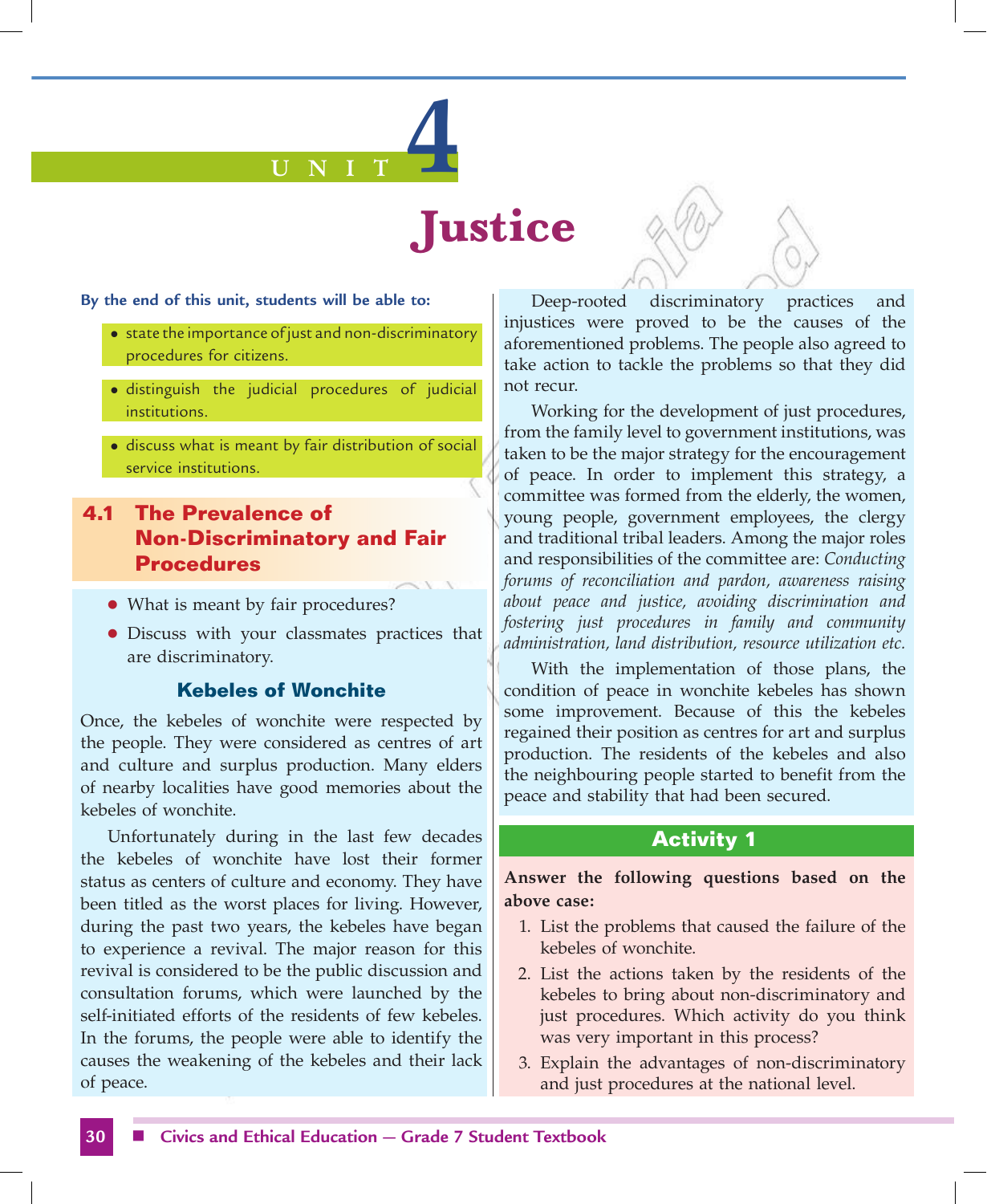# **U N I T 4**

# **Justice**

#### **By the end of this unit, students will be able to:**

- state the importance of just and non-discriminatory procedures for citizens.
- $\bullet$  distinguish the judicial procedures of judicial institutions.
- discuss what is meant by fair distribution of social service institutions.

# **4.1 The Prevalence of Non-Discriminatory and Fair Procedures**

- What is meant by fair procedures?
- Discuss with your classmates practices that are discriminatory.

#### **Kebeles of Wonchite**

Once, the kebeles of wonchite were respected by the people. They were considered as centres of art and culture and surplus production. Many elders of nearby localities have good memories about the kebeles of wonchite.

Unfortunately during in the last few decades the kebeles of wonchite have lost their former status as centers of culture and economy. They have been titled as the worst places for living. However, during the past two years, the kebeles have began to experience a revival. The major reason for this revival is considered to be the public discussion and consultation forums, which were launched by the self-initiated efforts of the residents of few kebeles. In the forums, the people were able to identify the causes the weakening of the kebeles and their lack of peace.

Deep-rooted discriminatory practices and injustices were proved to be the causes of the aforementioned problems. The people also agreed to take action to tackle the problems so that they did not recur.

Working for the development of just procedures, from the family level to government institutions, was taken to be the major strategy for the encouragement of peace. In order to implement this strategy, a committee was formed from the elderly, the women, young people, government employees, the clergy and traditional tribal leaders. Among the major roles and responsibilities of the committee are: *Conducting forums of reconciliation and pardon, awareness raising about peace and justice, avoiding discrimination and fostering just procedures in family and community administration, land distribution, resource utilization etc.*

With the implementation of those plans, the condition of peace in wonchite kebeles has shown some improvement. Because of this the kebeles regained their position as centres for art and surplus production. The residents of the kebeles and also the neighbouring people started to benefit from the peace and stability that had been secured.

# **Activity 1**

**Answer the following questions based on the above case:** 

- 1. List the problems that caused the failure of the kebeles of wonchite.
- 2. List the actions taken by the residents of the kebeles to bring about non-discriminatory and just procedures. Which activity do you think was very important in this process?
- 3. Explain the advantages of non-discriminatory and just procedures at the national level.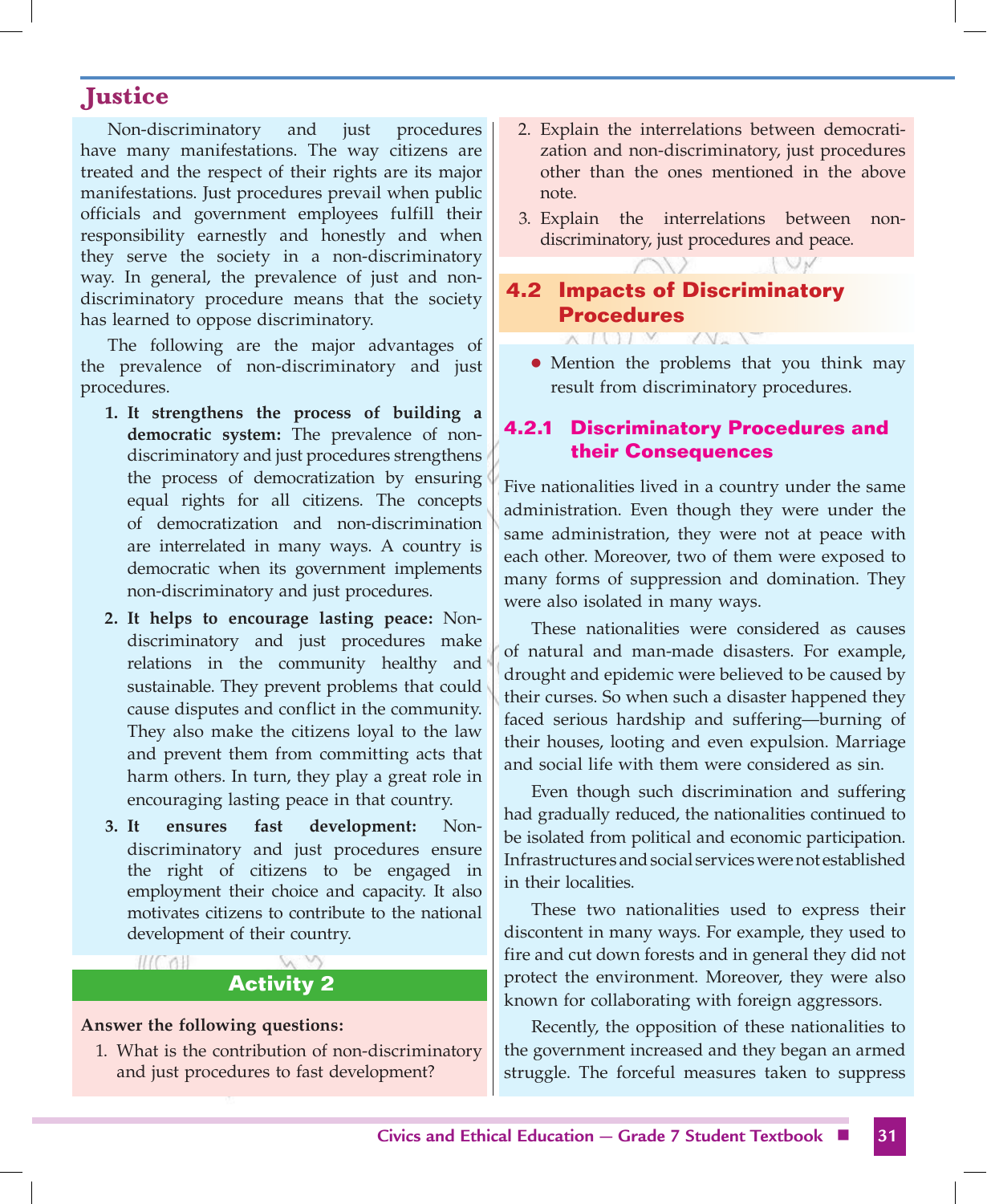Non-discriminatory and just procedures have many manifestations. The way citizens are treated and the respect of their rights are its major manifestations. Just procedures prevail when public officials and government employees fulfill their responsibility earnestly and honestly and when they serve the society in a non-discriminatory way. In general, the prevalence of just and nondiscriminatory procedure means that the society has learned to oppose discriminatory.

The following are the major advantages of the prevalence of non-discriminatory and just procedures.

- **1. It strengthens the process of building a democratic system:** The prevalence of nondiscriminatory and just procedures strengthens the process of democratization by ensuring equal rights for all citizens. The concepts of democratization and non-discrimination are interrelated in many ways. A country is democratic when its government implements non-discriminatory and just procedures.
- **2. It helps to encourage lasting peace:** Nondiscriminatory and just procedures make relations in the community healthy and sustainable. They prevent problems that could cause disputes and conflict in the community. They also make the citizens loyal to the law and prevent them from committing acts that harm others. In turn, they play a great role in encouraging lasting peace in that country.
- **3. It ensures fast development:** Nondiscriminatory and just procedures ensure the right of citizens to be engaged in employment their choice and capacity. It also motivates citizens to contribute to the national development of their country.

# **Activity 2**

#### **Answer the following questions:**

**MOTH** 

1. What is the contribution of non-discriminatory and just procedures to fast development?

- 2. Explain the interrelations between democratization and non-discriminatory, just procedures other than the ones mentioned in the above note.
- 3. Explain the interrelations between nondiscriminatory, just procedures and peace.

# **4.2 Impacts of Discriminatory Procedures**

**AIIIV** 

• Mention the problems that you think may result from discriminatory procedures.

# **4.2.1 Discriminatory Procedures and their Consequences**

Five nationalities lived in a country under the same administration. Even though they were under the same administration, they were not at peace with each other. Moreover, two of them were exposed to many forms of suppression and domination. They were also isolated in many ways.

These nationalities were considered as causes of natural and man-made disasters. For example, drought and epidemic were believed to be caused by their curses. So when such a disaster happened they faced serious hardship and suffering—burning of their houses, looting and even expulsion. Marriage and social life with them were considered as sin.

Even though such discrimination and suffering had gradually reduced, the nationalities continued to be isolated from political and economic participation. Infrastructures and social services were not established in their localities.

These two nationalities used to express their discontent in many ways. For example, they used to fire and cut down forests and in general they did not protect the environment. Moreover, they were also known for collaborating with foreign aggressors.

Recently, the opposition of these nationalities to the government increased and they began an armed struggle. The forceful measures taken to suppress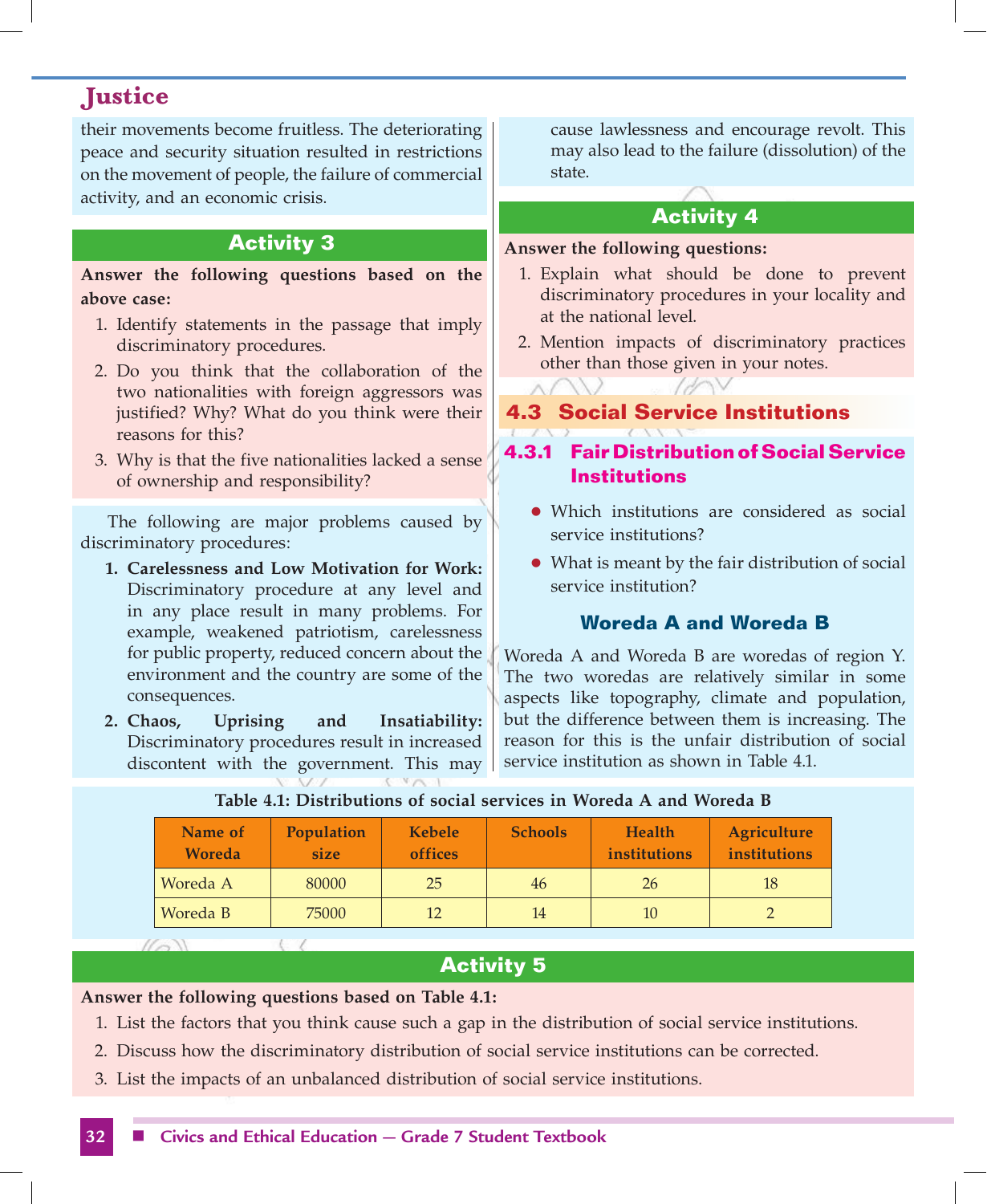their movements become fruitless. The deteriorating peace and security situation resulted in restrictions on the movement of people, the failure of commercial activity, and an economic crisis.

# **Activity 3**

**Answer the following questions based on the above case:** 

- 1. Identify statements in the passage that imply discriminatory procedures.
- 2. Do you think that the collaboration of the two nationalities with foreign aggressors was justified? Why? What do you think were their reasons for this?
- 3. Why is that the five nationalities lacked a sense of ownership and responsibility?

The following are major problems caused by discriminatory procedures:

- **1. Carelessness and Low Motivation for Work:** Discriminatory procedure at any level and in any place result in many problems. For example, weakened patriotism, carelessness for public property, reduced concern about the environment and the country are some of the consequences.
- **2. Chaos, Uprising and Insatiability:** Discriminatory procedures result in increased discontent with the government. This may

cause lawlessness and encourage revolt. This may also lead to the failure (dissolution) of the state.

# **Activity 4**

#### **Answer the following questions:**

- 1. Explain what should be done to prevent discriminatory procedures in your locality and at the national level.
- 2. Mention impacts of discriminatory practices other than those given in your notes.

# **4.3 Social Service Institutions**

# **4.3.1 Fair Distribution of Social Service Institutions**

- Which institutions are considered as social service institutions?
- What is meant by the fair distribution of social service institution?

# **Woreda A and Woreda B**

Woreda A and Woreda B are woredas of region Y. The two woredas are relatively similar in some aspects like topography, climate and population, but the difference between them is increasing. The reason for this is the unfair distribution of social service institution as shown in Table 4.1.

| Name of<br>Woreda              | Population<br>size | <b>Kebele</b><br><b>offices</b> | <b>Schools</b> | <b>Health</b><br>institutions | Agriculture<br>institutions |
|--------------------------------|--------------------|---------------------------------|----------------|-------------------------------|-----------------------------|
| Woreda A                       | 80000              | 25                              | 46             | <b>26</b>                     | 18                          |
| Woreda B                       | 75000              | 12                              | 14             | 10                            |                             |
| $\mathcal{U} \sim \mathcal{N}$ |                    |                                 |                |                               |                             |

#### **Table 4.1: Distributions of social services in Woreda A and Woreda B**

# **Activity 5**

**Answer the following questions based on Table 4.1:**

- 1. List the factors that you think cause such a gap in the distribution of social service institutions.
- 2. Discuss how the discriminatory distribution of social service institutions can be corrected.
- 3. List the impacts of an unbalanced distribution of social service institutions.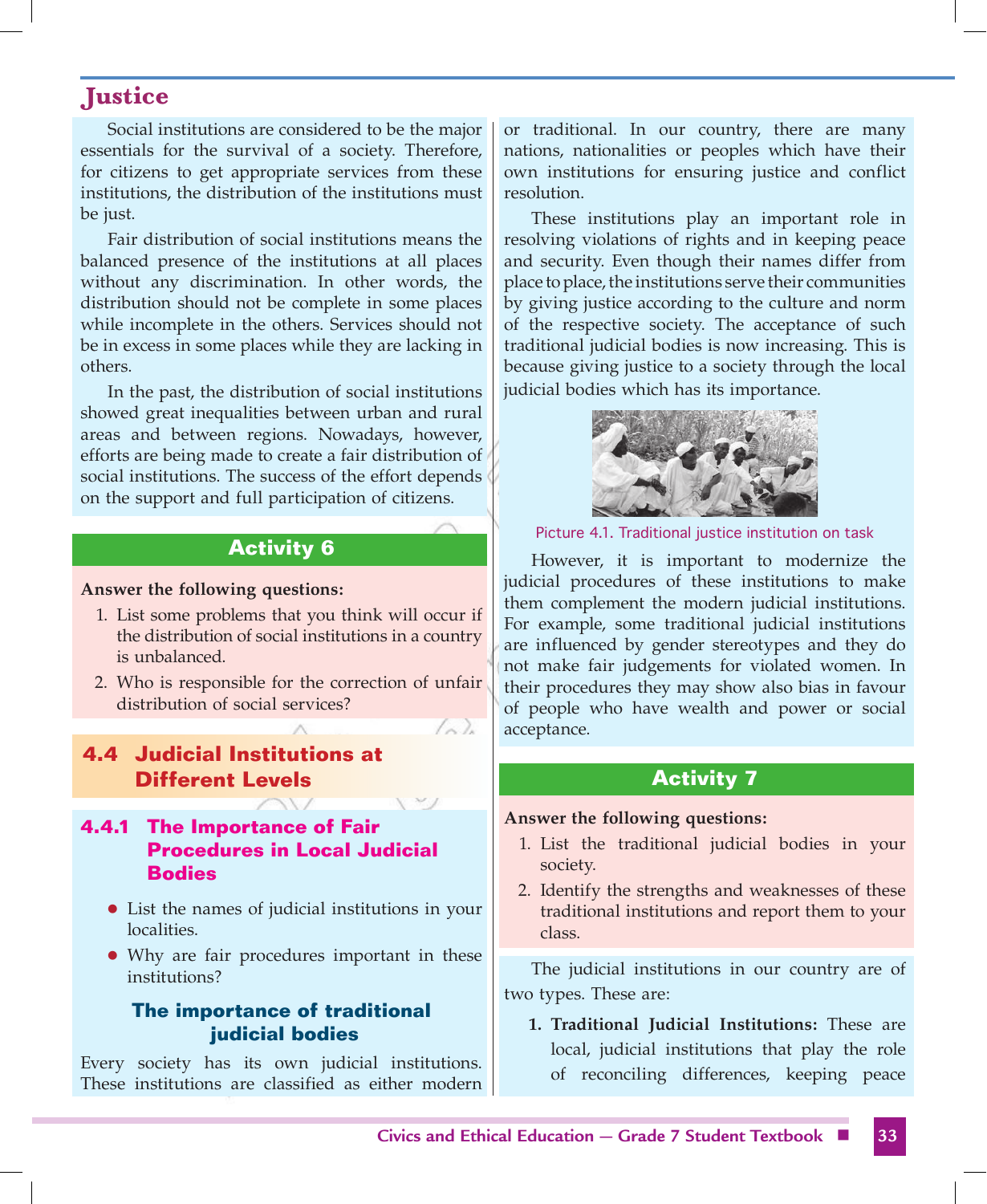Social institutions are considered to be the major essentials for the survival of a society. Therefore, for citizens to get appropriate services from these institutions, the distribution of the institutions must be just.

Fair distribution of social institutions means the balanced presence of the institutions at all places without any discrimination. In other words, the distribution should not be complete in some places while incomplete in the others. Services should not be in excess in some places while they are lacking in others.

In the past, the distribution of social institutions showed great inequalities between urban and rural areas and between regions. Nowadays, however, efforts are being made to create a fair distribution of social institutions. The success of the effort depends on the support and full participation of citizens.

# **Activity 6**

**Answer the following questions:**

- 1. List some problems that you think will occur if the distribution of social institutions in a country is unbalanced.
- 2. Who is responsible for the correction of unfair distribution of social services?

 $(\wedge)$ 

**4.4 Judicial Institutions at Different Levels** 

#### **4.4.1 The Importance of Fair Procedures in Local Judicial Bodies**

- List the names of judicial institutions in your localities.
- Why are fair procedures important in these institutions?

#### **The importance of traditional judicial bodies**

Every society has its own judicial institutions. These institutions are classified as either modern or traditional. In our country, there are many nations, nationalities or peoples which have their own institutions for ensuring justice and conflict resolution.

These institutions play an important role in resolving violations of rights and in keeping peace and security. Even though their names differ from place to place, the institutions serve their communities by giving justice according to the culture and norm of the respective society. The acceptance of such traditional judicial bodies is now increasing. This is because giving justice to a society through the local judicial bodies which has its importance.



Picture 4.1. Traditional justice institution on task

However, it is important to modernize the judicial procedures of these institutions to make them complement the modern judicial institutions. For example, some traditional judicial institutions are influenced by gender stereotypes and they do not make fair judgements for violated women. In their procedures they may show also bias in favour of people who have wealth and power or social acceptance.

#### **Activity 7**

#### **Answer the following questions:**

- 1. List the traditional judicial bodies in your society.
- 2. Identify the strengths and weaknesses of these traditional institutions and report them to your class.

The judicial institutions in our country are of two types. These are:

**1. Traditional Judicial Institutions:** These are local, judicial institutions that play the role of reconciling differences, keeping peace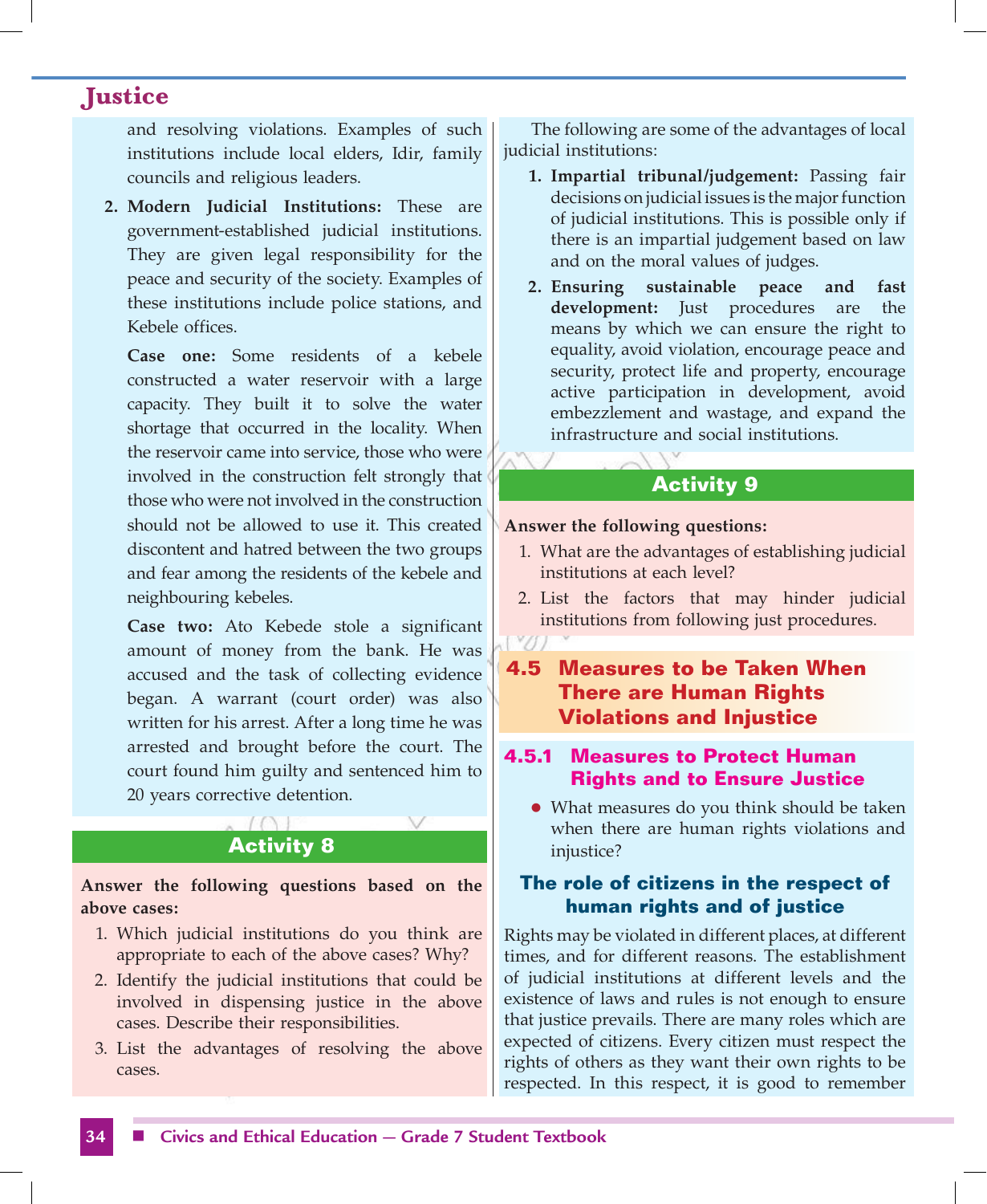and resolving violations. Examples of such institutions include local elders, Idir, family councils and religious leaders.

**2. Modern Judicial Institutions:** These are government-established judicial institutions. They are given legal responsibility for the peace and security of the society. Examples of these institutions include police stations, and Kebele offices.

 **Case one:** Some residents of a kebele constructed a water reservoir with a large capacity. They built it to solve the water shortage that occurred in the locality. When the reservoir came into service, those who were involved in the construction felt strongly that those who were not involved in the construction should not be allowed to use it. This created discontent and hatred between the two groups and fear among the residents of the kebele and neighbouring kebeles.

 **Case two:** Ato Kebede stole a significant amount of money from the bank. He was accused and the task of collecting evidence began. A warrant (court order) was also written for his arrest. After a long time he was arrested and brought before the court. The court found him guilty and sentenced him to 20 years corrective detention.

# **Activity 8**

**Answer the following questions based on the above cases:**

- 1. Which judicial institutions do you think are appropriate to each of the above cases? Why?
- 2. Identify the judicial institutions that could be involved in dispensing justice in the above cases. Describe their responsibilities.
- 3. List the advantages of resolving the above cases.

The following are some of the advantages of local judicial institutions:

- **1. Impartial tribunal/judgement:** Passing fair decisions on judicial issues is the major function of judicial institutions. This is possible only if there is an impartial judgement based on law and on the moral values of judges.
- **2. Ensuring sustainable peace and fast development:** Just procedures are the means by which we can ensure the right to equality, avoid violation, encourage peace and security, protect life and property, encourage active participation in development, avoid embezzlement and wastage, and expand the infrastructure and social institutions.

# **Activity 9**

#### **Answer the following questions:**

- 1. What are the advantages of establishing judicial institutions at each level?
- 2. List the factors that may hinder judicial institutions from following just procedures.

# **4.5 Measures to be Taken When There are Human Rights Violations and Injustice**

#### **4.5.1 Measures to Protect Human Rights and to Ensure Justice**

• What measures do you think should be taken when there are human rights violations and injustice?

# **The role of citizens in the respect of human rights and of justice**

Rights may be violated in different places, at different times, and for different reasons. The establishment of judicial institutions at different levels and the existence of laws and rules is not enough to ensure that justice prevails. There are many roles which are expected of citizens. Every citizen must respect the rights of others as they want their own rights to be respected. In this respect, it is good to remember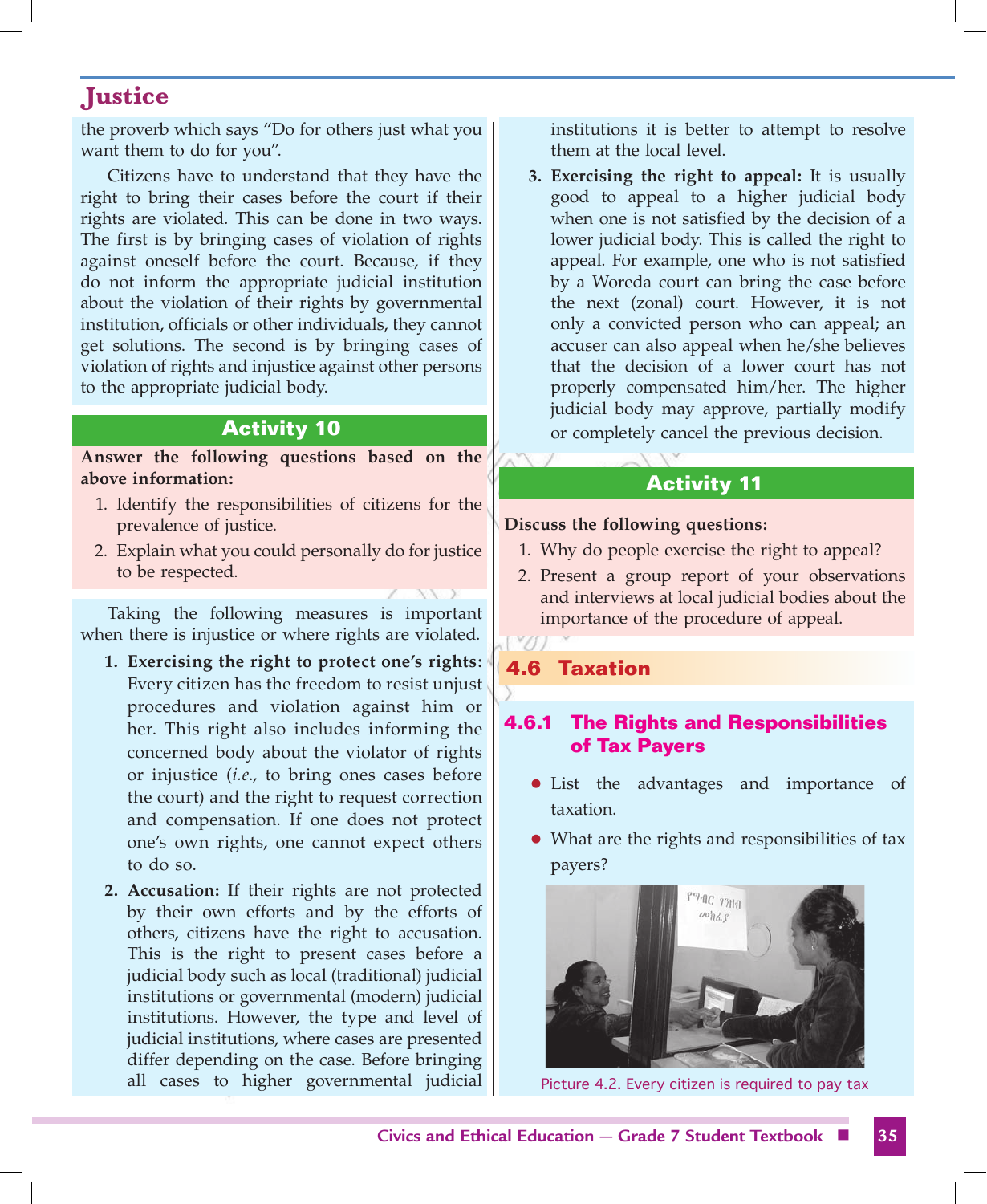the proverb which says "Do for others just what you want them to do for you".

Citizens have to understand that they have the right to bring their cases before the court if their rights are violated. This can be done in two ways. The first is by bringing cases of violation of rights against oneself before the court. Because, if they do not inform the appropriate judicial institution about the violation of their rights by governmental institution, officials or other individuals, they cannot get solutions. The second is by bringing cases of violation of rights and injustice against other persons to the appropriate judicial body.

# **Activity 10**

**Answer the following questions based on the above information:**

- 1. Identify the responsibilities of citizens for the prevalence of justice.
- 2. Explain what you could personally do for justice to be respected.

Taking the following measures is important when there is injustice or where rights are violated.

- **1. Exercising the right to protect one's rights:** Every citizen has the freedom to resist unjust procedures and violation against him or her. This right also includes informing the concerned body about the violator of rights or injustice (*i.e*., to bring ones cases before the court) and the right to request correction and compensation. If one does not protect one's own rights, one cannot expect others to do so.
- **2. Accusation:** If their rights are not protected by their own efforts and by the efforts of others, citizens have the right to accusation. This is the right to present cases before a judicial body such as local (traditional) judicial institutions or governmental (modern) judicial institutions. However, the type and level of judicial institutions, where cases are presented differ depending on the case. Before bringing all cases to higher governmental judicial

institutions it is better to attempt to resolve them at the local level.

**3. Exercising the right to appeal:** It is usually good to appeal to a higher judicial body when one is not satisfied by the decision of a lower judicial body. This is called the right to appeal. For example, one who is not satisfied by a Woreda court can bring the case before the next (zonal) court. However, it is not only a convicted person who can appeal; an accuser can also appeal when he/she believes that the decision of a lower court has not properly compensated him/her. The higher judicial body may approve, partially modify or completely cancel the previous decision.

# **Activity 11**

#### **Discuss the following questions:**

- 1. Why do people exercise the right to appeal?
- 2. Present a group report of your observations and interviews at local judicial bodies about the importance of the procedure of appeal.

# **4.6 Taxation**

# **4.6.1 The Rights and Responsibilities of Tax Payers**

- List the advantages and importance of taxation.
- What are the rights and responsibilities of tax payers?



Picture 4.2. Every citizen is required to pay tax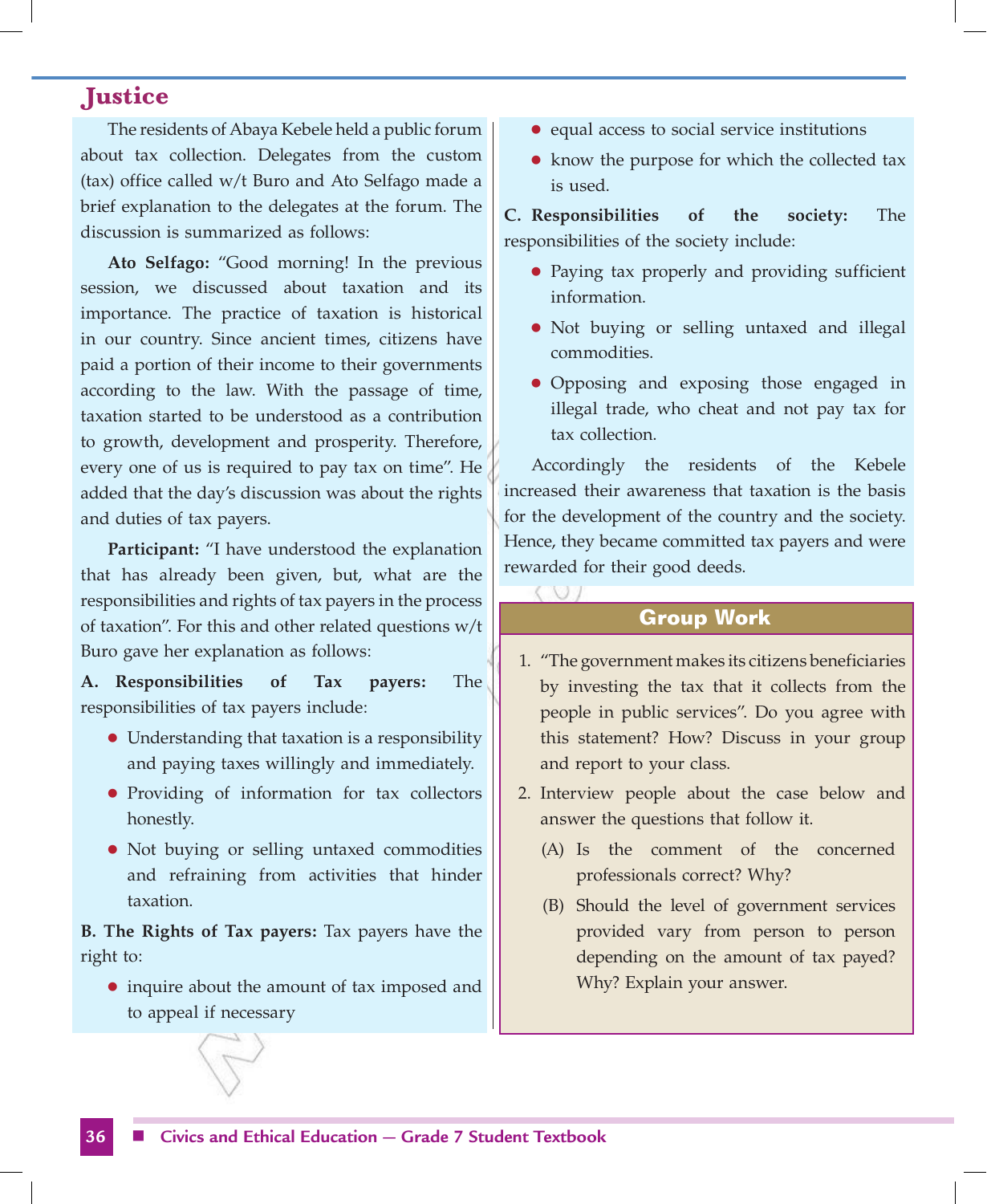The residents of Abaya Kebele held a public forum about tax collection. Delegates from the custom (tax) office called w/t Buro and Ato Selfago made a brief explanation to the delegates at the forum. The discussion is summarized as follows:

**Ato Selfago:** "Good morning! In the previous session, we discussed about taxation and its importance. The practice of taxation is historical in our country. Since ancient times, citizens have paid a portion of their income to their governments according to the law. With the passage of time, taxation started to be understood as a contribution to growth, development and prosperity. Therefore, every one of us is required to pay tax on time". He added that the day's discussion was about the rights and duties of tax payers.

**Participant:** "I have understood the explanation that has already been given, but, what are the responsibilities and rights of tax payers in the process of taxation". For this and other related questions w/t Buro gave her explanation as follows:

**A. Responsibilities of Tax payers:** The responsibilities of tax payers include:

- Understanding that taxation is a responsibility and paying taxes willingly and immediately.
- Providing of information for tax collectors honestly.
- Not buying or selling untaxed commodities and refraining from activities that hinder taxation.

**B. The Rights of Tax payers:** Tax payers have the right to:

• inquire about the amount of tax imposed and to appeal if necessary

- equal access to social service institutions
- $\bullet$  know the purpose for which the collected tax is used.

**C. Responsibilities of the society:** The responsibilities of the society include:

- Paying tax properly and providing sufficient information.
- Not buying or selling untaxed and illegal commodities.
- Opposing and exposing those engaged in illegal trade, who cheat and not pay tax for tax collection.

Accordingly the residents of the Kebele increased their awareness that taxation is the basis for the development of the country and the society. Hence, they became committed tax payers and were rewarded for their good deeds.

# **Group Work**

- 1. "The government makes its citizens beneficiaries by investing the tax that it collects from the people in public services". Do you agree with this statement? How? Discuss in your group and report to your class.
- 2. Interview people about the case below and answer the questions that follow it.
	- (A) Is the comment of the concerned professionals correct? Why?
	- (B) Should the level of government services provided vary from person to person depending on the amount of tax payed? Why? Explain your answer.

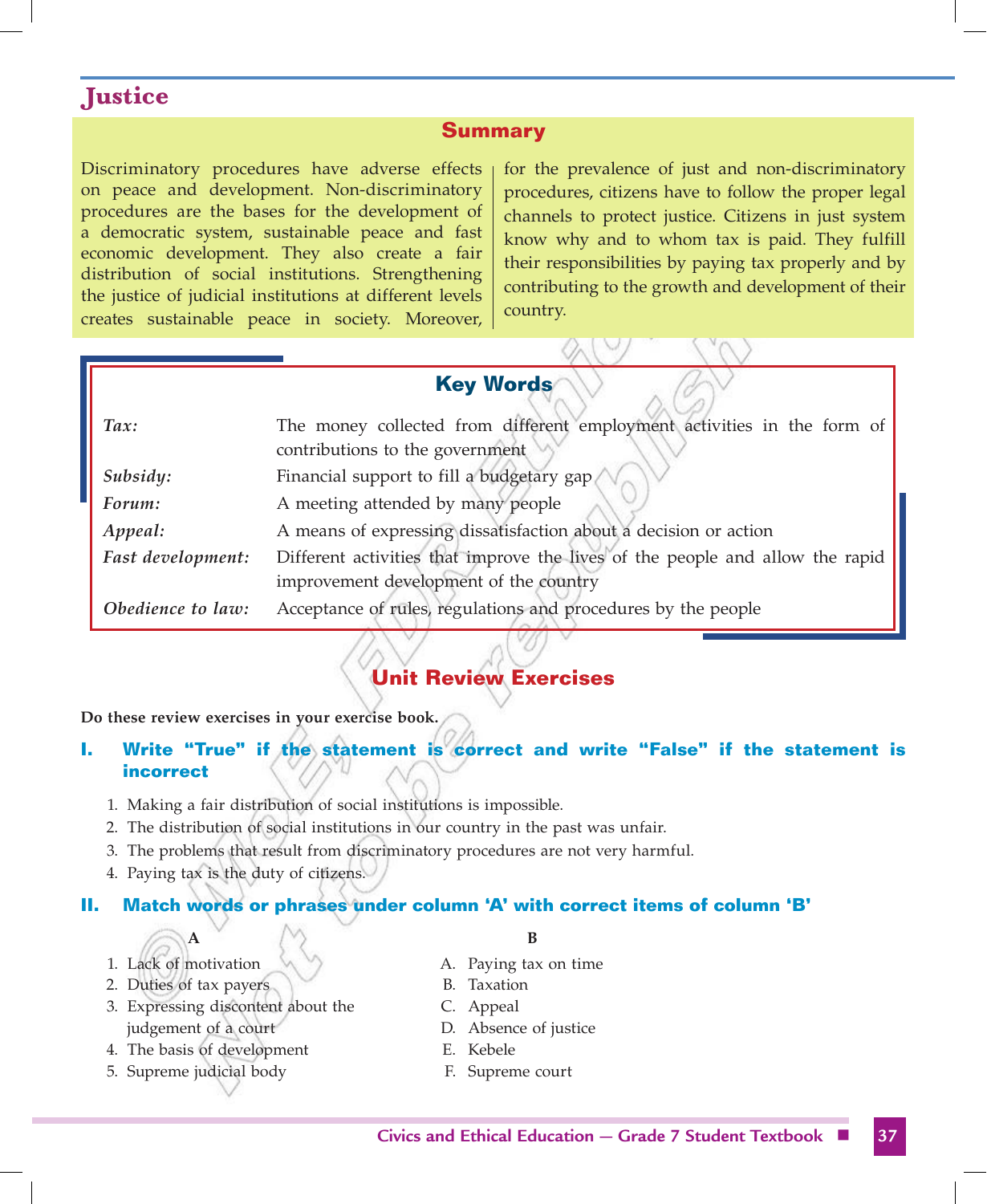#### **Summary**

Discriminatory procedures have adverse effects on peace and development. Non-discriminatory procedures are the bases for the development of a democratic system, sustainable peace and fast economic development. They also create a fair distribution of social institutions. Strengthening the justice of judicial institutions at different levels creates sustainable peace in society. Moreover, for the prevalence of just and non-discriminatory procedures, citizens have to follow the proper legal channels to protect justice. Citizens in just system know why and to whom tax is paid. They fulfill their responsibilities by paying tax properly and by contributing to the growth and development of their country.

# **Key Words**

| $\textit{Tax:}$          | The money collected from different employment activities in the form of       |  |  |  |  |
|--------------------------|-------------------------------------------------------------------------------|--|--|--|--|
|                          | contributions to the government                                               |  |  |  |  |
| Subsidy:                 | Financial support to fill a budgetary gap/                                    |  |  |  |  |
| Forum:                   | A meeting attended by many people                                             |  |  |  |  |
| Appeal:                  | A means of expressing dissatisfaction about a decision or action              |  |  |  |  |
| <b>Fast development:</b> | Different activities that improve the lives of the people and allow the rapid |  |  |  |  |
|                          | improvement development of the country                                        |  |  |  |  |
| Obedience to law:        | Acceptance of rules, regulations and procedures by the people                 |  |  |  |  |
|                          |                                                                               |  |  |  |  |

# **Unit Review Exercises**

**Do these review exercises in your exercise book.**

#### **I.** Write "True" if the statement is correct and write "False" if the statement is **incorrect**

- 1. Making a fair distribution of social institutions is impossible.
- 2. The distribution of social institutions in our country in the past was unfair.
- 3. The problems that result from discriminatory procedures are not very harmful.
- 4. Paying tax is the duty of citizens.

#### **II. Match words or phrases under column 'A' with correct items of column 'B'**

- 
- 
- 2. Duties of tax payers B. Taxation
- 3. Expressing discontent about the C. Appeal judgement of a court D. Absence of justice
- 4. The basis of development E. Kebele
- 5. Supreme judicial body F. Supreme court

#### **A B**

- 1. Lack of motivation  $\qquad \qquad \wedge \qquad \qquad \wedge$  A. Paying tax on time
	-
	-
	-
	-
	-